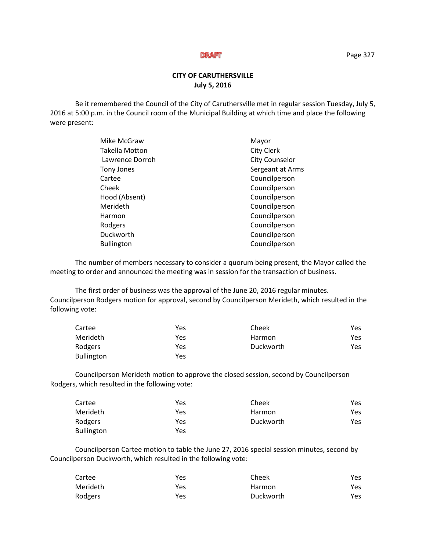# **CITY OF CARUTHERSVILLE July 5, 2016**

Be it remembered the Council of the City of Caruthersville met in regular session Tuesday, July 5, 2016 at 5:00 p.m. in the Council room of the Municipal Building at which time and place the following were present:

| Mike McGraw           | Mayor                 |
|-----------------------|-----------------------|
| <b>Takella Motton</b> | <b>City Clerk</b>     |
| Lawrence Dorroh       | <b>City Counselor</b> |
| Tony Jones            | Sergeant at Arms      |
| Cartee                | Councilperson         |
| Cheek                 | Councilperson         |
| Hood (Absent)         | Councilperson         |
| Merideth              | Councilperson         |
| Harmon                | Councilperson         |
| Rodgers               | Councilperson         |
| Duckworth             | Councilperson         |
| <b>Bullington</b>     | Councilperson         |
|                       |                       |

The number of members necessary to consider a quorum being present, the Mayor called the meeting to order and announced the meeting was in session for the transaction of business.

The first order of business was the approval of the June 20, 2016 regular minutes. Councilperson Rodgers motion for approval, second by Councilperson Merideth, which resulted in the following vote:

| Cartee            | Yes | Cheek     | Yes. |
|-------------------|-----|-----------|------|
| Merideth          | Yes | Harmon    | Yes. |
| Rodgers           | Yes | Duckworth | Yes. |
| <b>Bullington</b> | Yes |           |      |

Councilperson Merideth motion to approve the closed session, second by Councilperson Rodgers, which resulted in the following vote:

| Cartee            | Yes | Cheek     | Yes. |
|-------------------|-----|-----------|------|
| Merideth          | Yes | Harmon    | Yes. |
| Rodgers           | Yes | Duckworth | Yes  |
| <b>Bullington</b> | Yes |           |      |

Councilperson Cartee motion to table the June 27, 2016 special session minutes, second by Councilperson Duckworth, which resulted in the following vote:

| Cartee   | Yes | Cheek     | Yes |
|----------|-----|-----------|-----|
| Merideth | Yes | Harmon    | Yes |
| Rodgers  | Yes | Duckworth | Yes |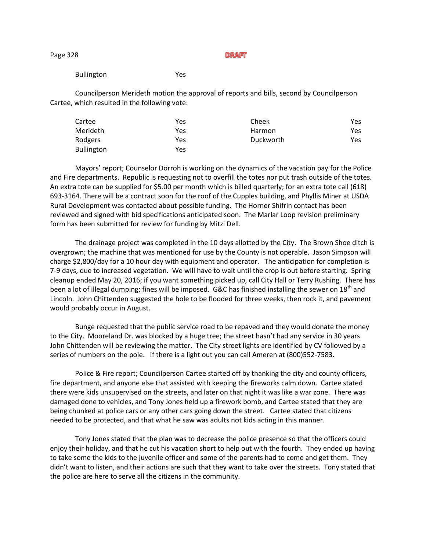Page 328

Bullington Yes

Councilperson Merideth motion the approval of reports and bills, second by Councilperson Cartee, which resulted in the following vote:

| Cartee            | Yes | Cheek     | Yes |
|-------------------|-----|-----------|-----|
| Merideth          | Yes | Harmon    | Yes |
| Rodgers           | Yes | Duckworth | Yes |
| <b>Bullington</b> | Yes |           |     |

Mayors' report; Counselor Dorroh is working on the dynamics of the vacation pay for the Police and Fire departments. Republic is requesting not to overfill the totes nor put trash outside of the totes. An extra tote can be supplied for \$5.00 per month which is billed quarterly; for an extra tote call (618) 693-3164. There will be a contract soon for the roof of the Cupples building, and Phyllis Miner at USDA Rural Development was contacted about possible funding. The Horner Shifrin contact has been reviewed and signed with bid specifications anticipated soon. The Marlar Loop revision preliminary form has been submitted for review for funding by Mitzi Dell.

The drainage project was completed in the 10 days allotted by the City. The Brown Shoe ditch is overgrown; the machine that was mentioned for use by the County is not operable. Jason Simpson will charge \$2,800/day for a 10 hour day with equipment and operator. The anticipation for completion is 7-9 days, due to increased vegetation. We will have to wait until the crop is out before starting. Spring cleanup ended May 20, 2016; if you want something picked up, call City Hall or Terry Rushing. There has been a lot of illegal dumping; fines will be imposed. G&C has finished installing the sewer on 18<sup>th</sup> and Lincoln. John Chittenden suggested the hole to be flooded for three weeks, then rock it, and pavement would probably occur in August.

Bunge requested that the public service road to be repaved and they would donate the money to the City. Mooreland Dr. was blocked by a huge tree; the street hasn't had any service in 30 years. John Chittenden will be reviewing the matter. The City street lights are identified by CV followed by a series of numbers on the pole. If there is a light out you can call Ameren at (800)552-7583.

Police & Fire report; Councilperson Cartee started off by thanking the city and county officers, fire department, and anyone else that assisted with keeping the fireworks calm down. Cartee stated there were kids unsupervised on the streets, and later on that night it was like a war zone. There was damaged done to vehicles, and Tony Jones held up a firework bomb, and Cartee stated that they are being chunked at police cars or any other cars going down the street. Cartee stated that citizens needed to be protected, and that what he saw was adults not kids acting in this manner.

Tony Jones stated that the plan was to decrease the police presence so that the officers could enjoy their holiday, and that he cut his vacation short to help out with the fourth. They ended up having to take some the kids to the juvenile officer and some of the parents had to come and get them. They didn't want to listen, and their actions are such that they want to take over the streets. Tony stated that the police are here to serve all the citizens in the community.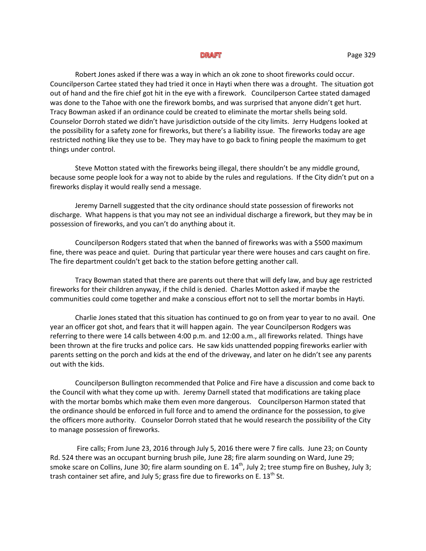Robert Jones asked if there was a way in which an ok zone to shoot fireworks could occur. Councilperson Cartee stated they had tried it once in Hayti when there was a drought. The situation got out of hand and the fire chief got hit in the eye with a firework. Councilperson Cartee stated damaged was done to the Tahoe with one the firework bombs, and was surprised that anyone didn't get hurt. Tracy Bowman asked if an ordinance could be created to eliminate the mortar shells being sold. Counselor Dorroh stated we didn't have jurisdiction outside of the city limits. Jerry Hudgens looked at the possibility for a safety zone for fireworks, but there's a liability issue. The fireworks today are age restricted nothing like they use to be. They may have to go back to fining people the maximum to get things under control.

Steve Motton stated with the fireworks being illegal, there shouldn't be any middle ground, because some people look for a way not to abide by the rules and regulations. If the City didn't put on a fireworks display it would really send a message.

Jeremy Darnell suggested that the city ordinance should state possession of fireworks not discharge. What happens is that you may not see an individual discharge a firework, but they may be in possession of fireworks, and you can't do anything about it.

Councilperson Rodgers stated that when the banned of fireworks was with a \$500 maximum fine, there was peace and quiet. During that particular year there were houses and cars caught on fire. The fire department couldn't get back to the station before getting another call.

Tracy Bowman stated that there are parents out there that will defy law, and buy age restricted fireworks for their children anyway, if the child is denied. Charles Motton asked if maybe the communities could come together and make a conscious effort not to sell the mortar bombs in Hayti.

Charlie Jones stated that this situation has continued to go on from year to year to no avail. One year an officer got shot, and fears that it will happen again. The year Councilperson Rodgers was referring to there were 14 calls between 4:00 p.m. and 12:00 a.m., all fireworks related. Things have been thrown at the fire trucks and police cars. He saw kids unattended popping fireworks earlier with parents setting on the porch and kids at the end of the driveway, and later on he didn't see any parents out with the kids.

Councilperson Bullington recommended that Police and Fire have a discussion and come back to the Council with what they come up with. Jeremy Darnell stated that modifications are taking place with the mortar bombs which make them even more dangerous. Councilperson Harmon stated that the ordinance should be enforced in full force and to amend the ordinance for the possession, to give the officers more authority. Counselor Dorroh stated that he would research the possibility of the City to manage possession of fireworks.

Fire calls; From June 23, 2016 through July 5, 2016 there were 7 fire calls. June 23; on County Rd. 524 there was an occupant burning brush pile, June 28; fire alarm sounding on Ward, June 29; smoke scare on Collins, June 30; fire alarm sounding on E.  $14<sup>th</sup>$ , July 2; tree stump fire on Bushey, July 3; trash container set afire, and July 5; grass fire due to fireworks on E.  $13<sup>th</sup>$  St.